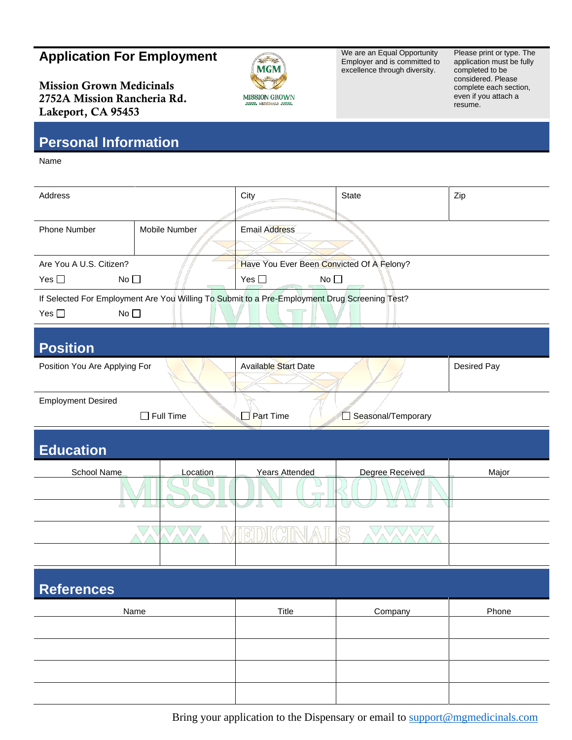## **Application For Employment**

Mission Grown Medicinals 2752A Mission Rancheria Rd. Lakeport, CA 95453



We are an Equal Opportunity Employer and is committed to excellence through diversity.

Please print or type. The application must be fully completed to be considered. Please complete each section, even if you attach a resume.

## **Personal Information**

Name

| Address                                      |                                                                                               | City                                      | <b>State</b>    | Zip         |  |
|----------------------------------------------|-----------------------------------------------------------------------------------------------|-------------------------------------------|-----------------|-------------|--|
|                                              |                                                                                               |                                           |                 |             |  |
| Phone Number                                 | Mobile Number                                                                                 | <b>Email Address</b>                      |                 |             |  |
|                                              |                                                                                               |                                           |                 |             |  |
| Are You A U.S. Citizen?                      |                                                                                               | Have You Ever Been Convicted Of A Felony? |                 |             |  |
| Yes $\square$<br>No <sub>1</sub>             |                                                                                               | No $\square$<br>Yes $\square$             |                 |             |  |
|                                              | If Selected For Employment Are You Willing To Submit to a Pre-Employment Drug Screening Test? |                                           |                 |             |  |
| Yes $\square$<br>No <sub>1</sub>             |                                                                                               |                                           |                 |             |  |
|                                              |                                                                                               |                                           |                 |             |  |
| <b>Position</b>                              |                                                                                               |                                           |                 |             |  |
| Position You Are Applying For                |                                                                                               | Available Start Date                      |                 | Desired Pay |  |
|                                              |                                                                                               |                                           |                 |             |  |
| <b>Employment Desired</b>                    |                                                                                               |                                           |                 |             |  |
| Full Time<br>Part Time<br>Seasonal/Temporary |                                                                                               |                                           |                 |             |  |
|                                              |                                                                                               |                                           |                 |             |  |
| <b>Education</b>                             |                                                                                               |                                           |                 |             |  |
|                                              |                                                                                               |                                           |                 |             |  |
| School Name                                  | Location                                                                                      | <b>Years Attended</b>                     | Degree Received | Major       |  |
|                                              |                                                                                               |                                           |                 |             |  |
|                                              |                                                                                               | 57                                        |                 |             |  |
|                                              |                                                                                               |                                           |                 |             |  |
|                                              |                                                                                               |                                           |                 |             |  |
|                                              |                                                                                               |                                           |                 |             |  |
|                                              |                                                                                               |                                           |                 |             |  |
| <b>References</b>                            |                                                                                               |                                           |                 |             |  |
| Name                                         |                                                                                               | <b>Title</b>                              | Company         | Phone       |  |
|                                              |                                                                                               |                                           |                 |             |  |
|                                              |                                                                                               |                                           |                 |             |  |
|                                              |                                                                                               |                                           |                 |             |  |
|                                              |                                                                                               |                                           |                 |             |  |

Bring your application to the Dispensary or email to [support@mgmedicinals.com](mailto:support@mgmedicinals.com)